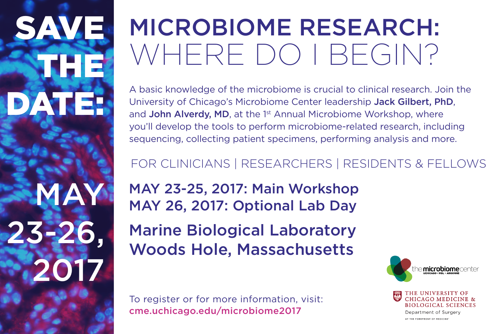SAVE THE DATE:

**MAY** 

2017

23-2

# MICROBIOME RESEARCH: WHERE DO I BEGIN?

A basic knowledge of the microbiome is crucial to clinical research. Join the University of Chicago's Microbiome Center leadership Jack Gilbert, PhD, and John Alverdy, MD, at the 1<sup>st</sup> Annual Microbiome Workshop, where you'll develop the tools to perform microbiome-related research, including sequencing, collecting patient specimens, performing analysis and more.

## FOR CLINICIANS | RESEARCHERS | RESIDENTS & FELLOWS

MAY 23-25, 2017: Main Workshop MAY 26, 2017: Optional Lab Day

Marine Biological Laboratory Woods Hole, Massachusetts

To register or for more information, visit: cme.uchicago.edu/microbiome2017



CHICAGO MEDICINE & **BIOLOGICAL SCIENCES** Department of Surgery AT THE FOREFRONT OF MEDICINE